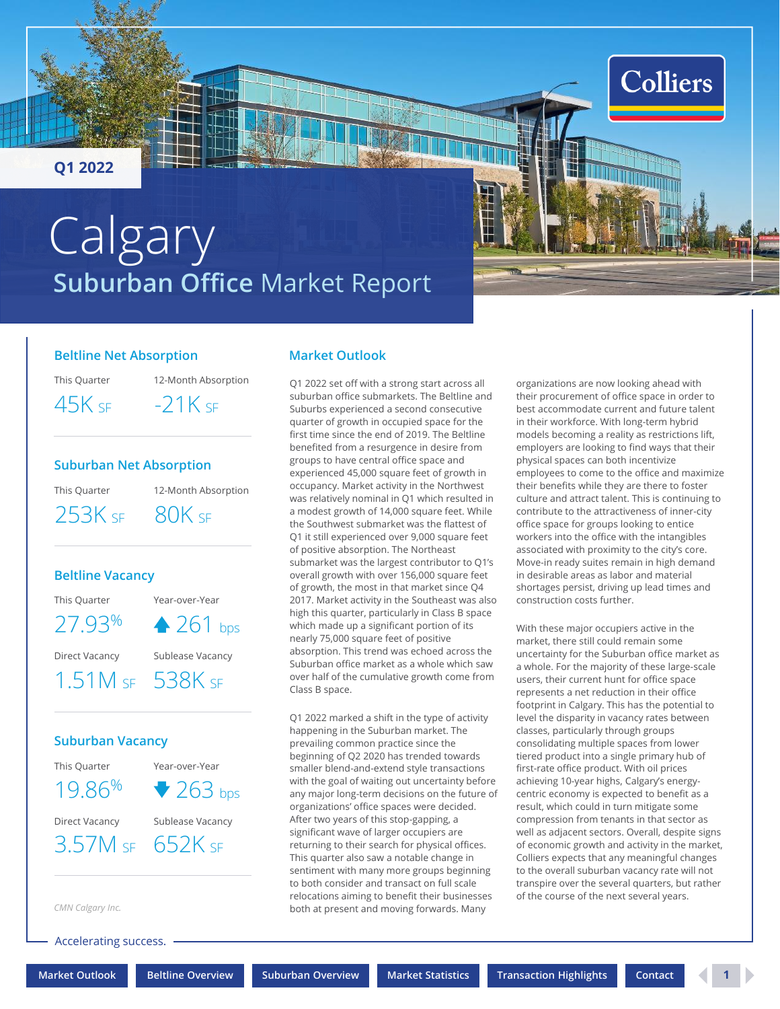<span id="page-0-0"></span>**Q1 2022**

# **Suburban Office** Market Report **Calgary**

#### **Beltline Net Absorption**

This Quarter

12-Month Absorption  $45K$  sf  $-21K$  sf

## **Suburban Net Absorption**

This Quarter

253K SF 80K SF

12-Month Absorption

### **Beltline Vacancy**

This Quarter Year-over-Year

 $27.93\%$   $\triangle$  261 bps

Direct Vacancy Sublease Vacancy

1.51M SF 538K SF

### **Suburban Vacancy**

This Quarter 19.86%

Year-over-Year  $\blacktriangledown$  263 bps

Direct Vacancy Sublease Vacancy

3.57M SF 652K SF

*CMN Calgary Inc.*

Accelerating success.

## **Market Outlook**

Q1 2022 set off with a strong start across all suburban office submarkets. The Beltline and Suburbs experienced a second consecutive quarter of growth in occupied space for the first time since the end of 2019. The Beltline benefited from a resurgence in desire from groups to have central office space and experienced 45,000 square feet of growth in occupancy. Market activity in the Northwest was relatively nominal in Q1 which resulted in a modest growth of 14,000 square feet. While the Southwest submarket was the flattest of Q1 it still experienced over 9,000 square feet of positive absorption. The Northeast submarket was the largest contributor to Q1's overall growth with over 156,000 square feet of growth, the most in that market since Q4 2017. Market activity in the Southeast was also high this quarter, particularly in Class B space which made up a significant portion of its nearly 75,000 square feet of positive absorption. This trend was echoed across the Suburban office market as a whole which saw over half of the cumulative growth come from Class B space.

Q1 2022 marked a shift in the type of activity happening in the Suburban market. The prevailing common practice since the beginning of Q2 2020 has trended towards smaller blend-and-extend style transactions with the goal of waiting out uncertainty before any major long-term decisions on the future of organizations' office spaces were decided. After two years of this stop-gapping, a significant wave of larger occupiers are returning to their search for physical offices. This quarter also saw a notable change in sentiment with many more groups beginning to both consider and transact on full scale relocations aiming to benefit their businesses both at present and moving forwards. Many

organizations are now looking ahead with their procurement of office space in order to best accommodate current and future talent in their workforce. With long-term hybrid models becoming a reality as restrictions lift, employers are looking to find ways that their physical spaces can both incentivize employees to come to the office and maximize their benefits while they are there to foster culture and attract talent. This is continuing to contribute to the attractiveness of inner-city office space for groups looking to entice workers into the office with the intangibles associated with proximity to the city's core. Move-in ready suites remain in high demand in desirable areas as labor and material shortages persist, driving up lead times and construction costs further.

**Colliers** 

With these major occupiers active in the market, there still could remain some uncertainty for the Suburban office market as a whole. For the majority of these large-scale users, their current hunt for office space represents a net reduction in their office footprint in Calgary. This has the potential to level the disparity in vacancy rates between classes, particularly through groups consolidating multiple spaces from lower tiered product into a single primary hub of first-rate office product. With oil prices achieving 10-year highs, Calgary's energycentric economy is expected to benefit as a result, which could in turn mitigate some compression from tenants in that sector as well as adjacent sectors. Overall, despite signs of economic growth and activity in the market, Colliers expects that any meaningful changes to the overall suburban vacancy rate will not transpire over the several quarters, but rather of the course of the next several years.

**[Market Outlook](#page-0-0) [Beltline Overview](#page-1-0) [Suburban Overview](#page-2-0) [Market Statistics](#page-3-0) [Transaction Highlights](#page-3-0) [Contact](#page-4-0) 1**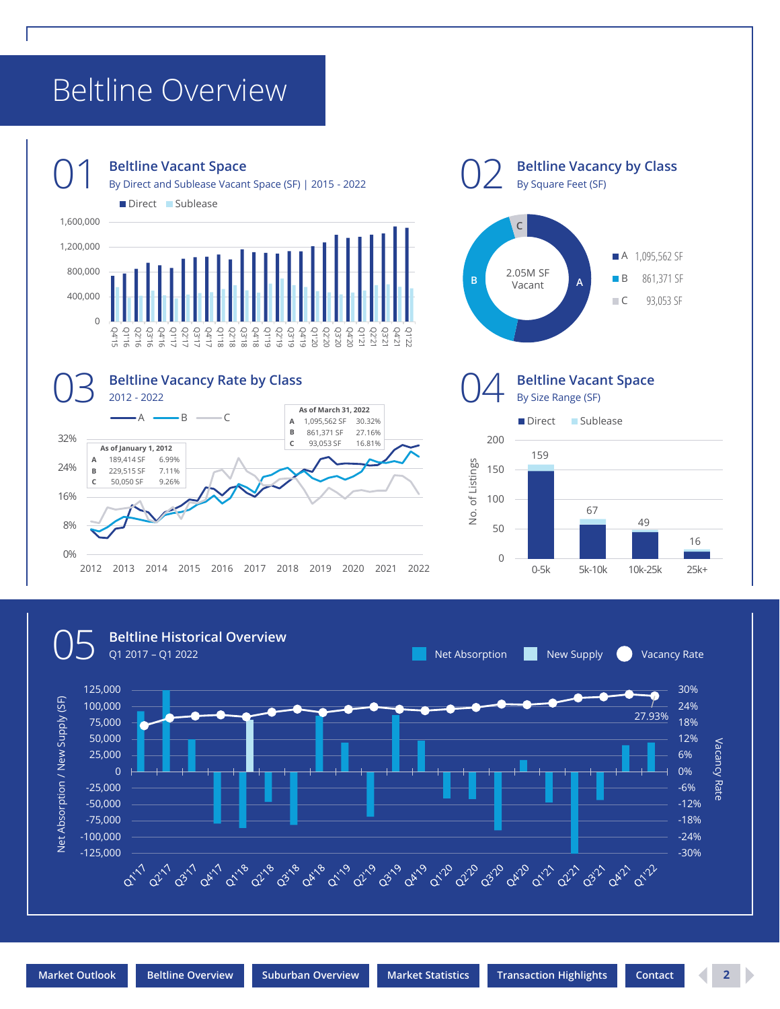## <span id="page-1-0"></span>Beltline Overview



2012 2013 2014 2015 2016 2017 2018 2019 2020 2021 2022



**Beltline Vacancy by Class**

By Square Feet (SF)



0%

8%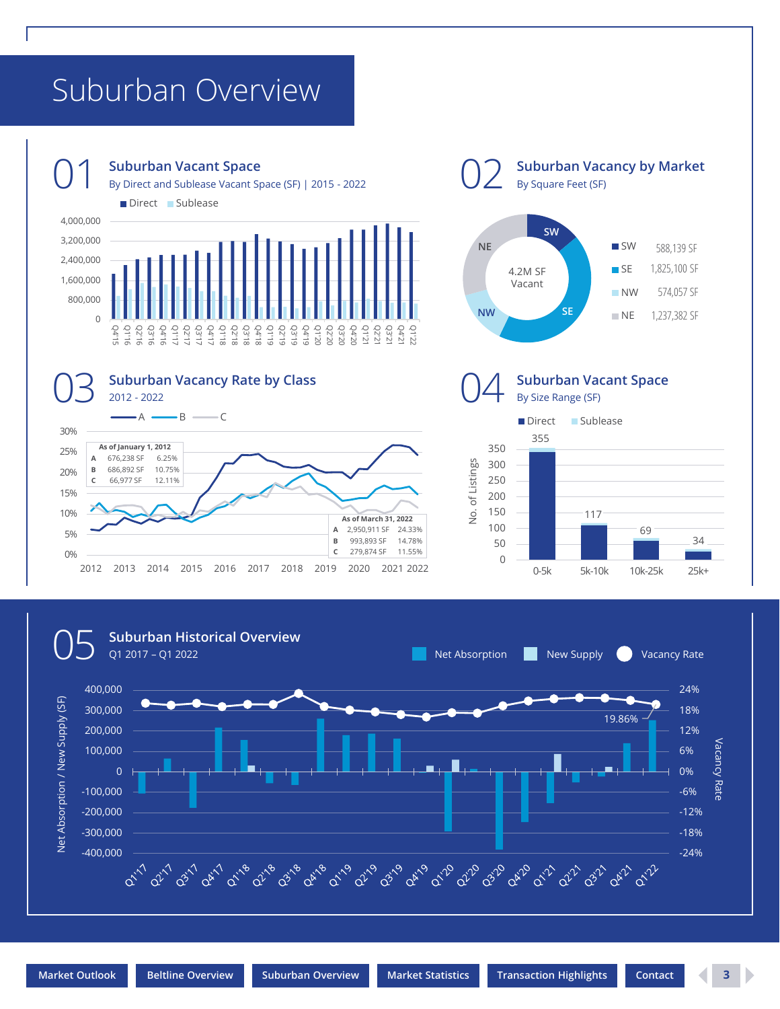## <span id="page-2-0"></span>Suburban Overview





By Square Feet (SF) **SW** NE SW 588,139 SF 1,825,100 SF 4.2M SF **SE** Vacant**NW** 574,057 SF **NW SE**  $N<sub>E</sub>$ 1,237,382 SF **Suburban Vacant Space** By Size Range (SF) Direct Sublease 355 350 of Listings 300 No. of Listings 250 200 150 о.<br>2 117 100 69 34 50

0-5k 5k-10k 10k-25k 25k+

 $\overline{0}$ 

**Suburban Vacancy by Market**

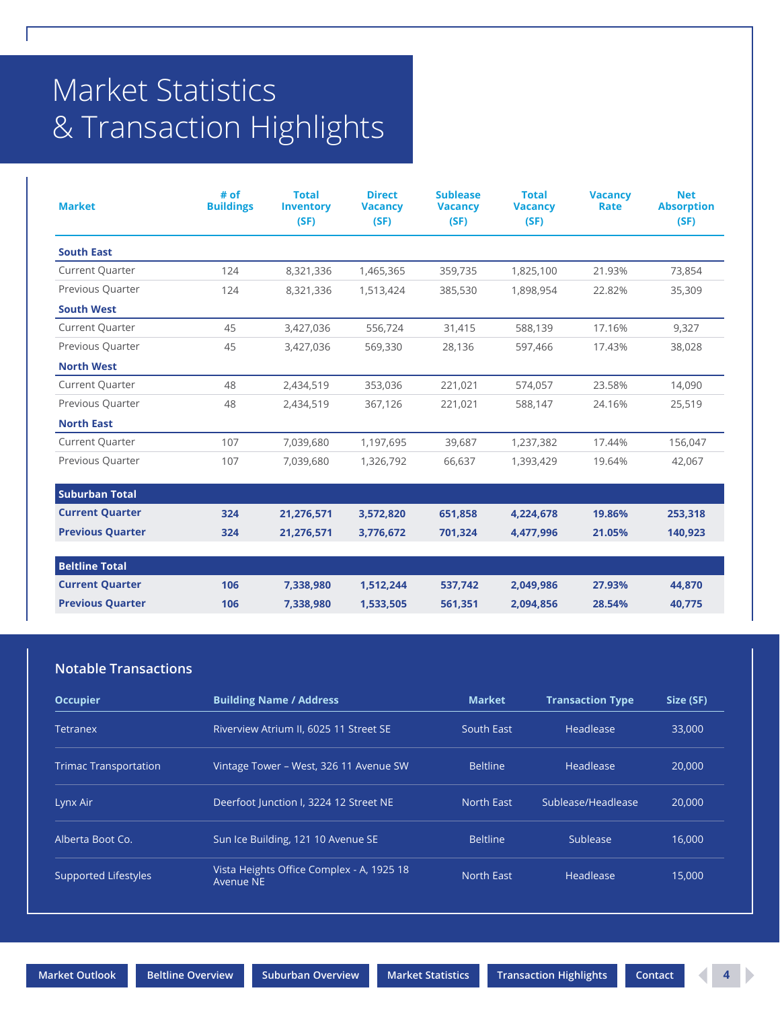# <span id="page-3-0"></span>Market Statistics & Transaction Highlights

| <b>Market</b>           | # of<br><b>Buildings</b> | <b>Total</b><br><b>Inventory</b><br>(SF) | <b>Direct</b><br><b>Vacancy</b><br>(SF) | <b>Sublease</b><br><b>Vacancy</b><br>(SF) | <b>Total</b><br><b>Vacancy</b><br>(SF) | <b>Vacancy</b><br>Rate | <b>Net</b><br><b>Absorption</b><br>(SF) |
|-------------------------|--------------------------|------------------------------------------|-----------------------------------------|-------------------------------------------|----------------------------------------|------------------------|-----------------------------------------|
| <b>South East</b>       |                          |                                          |                                         |                                           |                                        |                        |                                         |
| <b>Current Quarter</b>  | 124                      | 8,321,336                                | 1,465,365                               | 359,735                                   | 1,825,100                              | 21.93%                 | 73,854                                  |
| Previous Quarter        | 124                      | 8,321,336                                | 1,513,424                               | 385,530                                   | 1,898,954                              | 22.82%                 | 35,309                                  |
| <b>South West</b>       |                          |                                          |                                         |                                           |                                        |                        |                                         |
| <b>Current Quarter</b>  | 45                       | 3,427,036                                | 556,724                                 | 31,415                                    | 588,139                                | 17.16%                 | 9,327                                   |
| Previous Quarter        | 45                       | 3,427,036                                | 569,330                                 | 28,136                                    | 597,466                                | 17.43%                 | 38,028                                  |
| <b>North West</b>       |                          |                                          |                                         |                                           |                                        |                        |                                         |
| <b>Current Quarter</b>  | 48                       | 2,434,519                                | 353,036                                 | 221,021                                   | 574,057                                | 23.58%                 | 14,090                                  |
| Previous Quarter        | 48                       | 2,434,519                                | 367,126                                 | 221,021                                   | 588,147                                | 24.16%                 | 25,519                                  |
| <b>North East</b>       |                          |                                          |                                         |                                           |                                        |                        |                                         |
| <b>Current Quarter</b>  | 107                      | 7,039,680                                | 1,197,695                               | 39,687                                    | 1,237,382                              | 17.44%                 | 156,047                                 |
| Previous Quarter        | 107                      | 7,039,680                                | 1,326,792                               | 66,637                                    | 1,393,429                              | 19.64%                 | 42,067                                  |
| <b>Suburban Total</b>   |                          |                                          |                                         |                                           |                                        |                        |                                         |
| <b>Current Quarter</b>  | 324                      | 21,276,571                               | 3,572,820                               | 651,858                                   | 4,224,678                              | 19.86%                 | 253,318                                 |
| <b>Previous Quarter</b> | 324                      | 21,276,571                               | 3,776,672                               | 701,324                                   | 4,477,996                              | 21.05%                 | 140,923                                 |
| <b>Beltline Total</b>   |                          |                                          |                                         |                                           |                                        |                        |                                         |
| <b>Current Quarter</b>  | 106                      | 7,338,980                                | 1,512,244                               | 537,742                                   | 2,049,986                              | 27.93%                 | 44,870                                  |
| <b>Previous Quarter</b> | 106                      | 7,338,980                                | 1,533,505                               | 561,351                                   | 2,094,856                              | 28.54%                 | 40,775                                  |

## **Notable Transactions**

| <b>Occupier</b>              | <b>Building Name / Address</b>                         | <b>Market</b>   | <b>Transaction Type</b> | Size (SF) |
|------------------------------|--------------------------------------------------------|-----------------|-------------------------|-----------|
| Tetranex                     | Riverview Atrium II, 6025 11 Street SE                 | South East      | Headlease               | 33,000    |
| <b>Trimac Transportation</b> | Vintage Tower - West, 326 11 Avenue SW                 | <b>Beltline</b> | Headlease               | 20,000    |
| Lynx Air                     | Deerfoot Junction I, 3224 12 Street NE                 | North East      | Sublease/Headlease      | 20,000    |
| Alberta Boot Co.             | Sun Ice Building, 121 10 Avenue SE                     | <b>Beltline</b> | Sublease                | 16,000    |
| Supported Lifestyles         | Vista Heights Office Complex - A, 1925 18<br>Avenue NE | North East      | Headlease               | 15,000    |